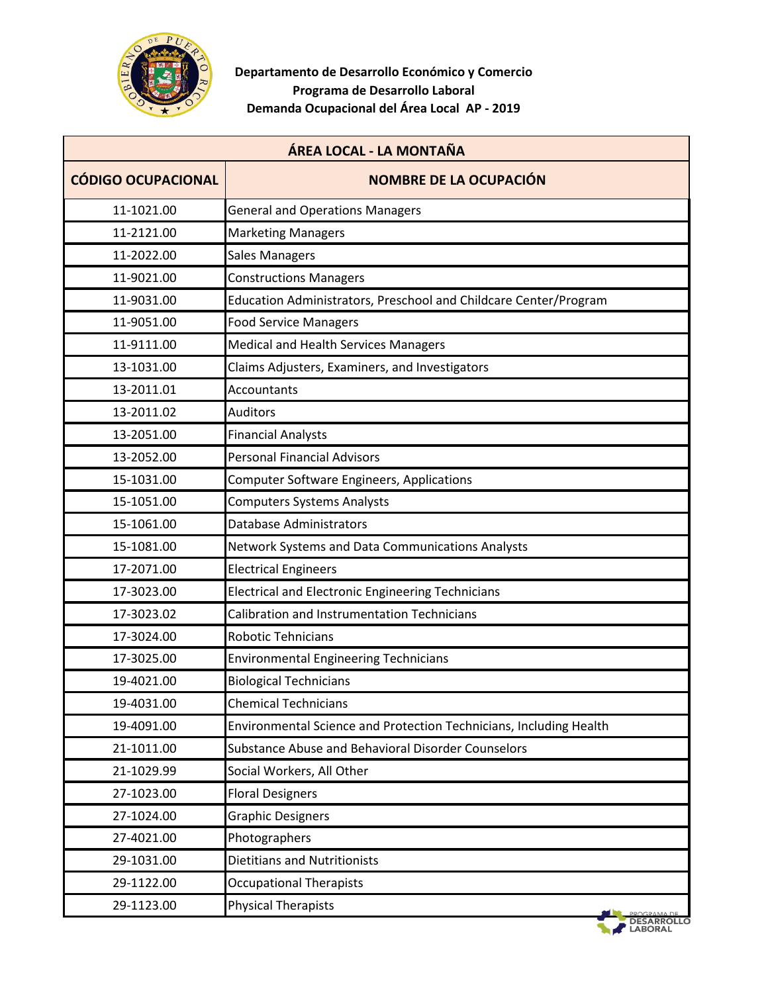

| ÁREA LOCAL - LA MONTAÑA   |                                                                    |  |
|---------------------------|--------------------------------------------------------------------|--|
| <b>CÓDIGO OCUPACIONAL</b> | <b>NOMBRE DE LA OCUPACIÓN</b>                                      |  |
| 11-1021.00                | <b>General and Operations Managers</b>                             |  |
| 11-2121.00                | <b>Marketing Managers</b>                                          |  |
| 11-2022.00                | <b>Sales Managers</b>                                              |  |
| 11-9021.00                | <b>Constructions Managers</b>                                      |  |
| 11-9031.00                | Education Administrators, Preschool and Childcare Center/Program   |  |
| 11-9051.00                | <b>Food Service Managers</b>                                       |  |
| 11-9111.00                | Medical and Health Services Managers                               |  |
| 13-1031.00                | Claims Adjusters, Examiners, and Investigators                     |  |
| 13-2011.01                | <b>Accountants</b>                                                 |  |
| 13-2011.02                | Auditors                                                           |  |
| 13-2051.00                | <b>Financial Analysts</b>                                          |  |
| 13-2052.00                | <b>Personal Financial Advisors</b>                                 |  |
| 15-1031.00                | <b>Computer Software Engineers, Applications</b>                   |  |
| 15-1051.00                | <b>Computers Systems Analysts</b>                                  |  |
| 15-1061.00                | <b>Database Administrators</b>                                     |  |
| 15-1081.00                | Network Systems and Data Communications Analysts                   |  |
| 17-2071.00                | <b>Electrical Engineers</b>                                        |  |
| 17-3023.00                | <b>Electrical and Electronic Engineering Technicians</b>           |  |
| 17-3023.02                | Calibration and Instrumentation Technicians                        |  |
| 17-3024.00                | <b>Robotic Tehnicians</b>                                          |  |
| 17-3025.00                | <b>Environmental Engineering Technicians</b>                       |  |
| 19-4021.00                | <b>Biological Technicians</b>                                      |  |
| 19-4031.00                | <b>Chemical Technicians</b>                                        |  |
| 19-4091.00                | Environmental Science and Protection Technicians, Including Health |  |
| 21-1011.00                | Substance Abuse and Behavioral Disorder Counselors                 |  |
| 21-1029.99                | Social Workers, All Other                                          |  |
| 27-1023.00                | <b>Floral Designers</b>                                            |  |
| 27-1024.00                | <b>Graphic Designers</b>                                           |  |
| 27-4021.00                | Photographers                                                      |  |
| 29-1031.00                | <b>Dietitians and Nutritionists</b>                                |  |
| 29-1122.00                | <b>Occupational Therapists</b>                                     |  |
| 29-1123.00                | <b>Physical Therapists</b>                                         |  |
|                           | <b>LABORAL</b>                                                     |  |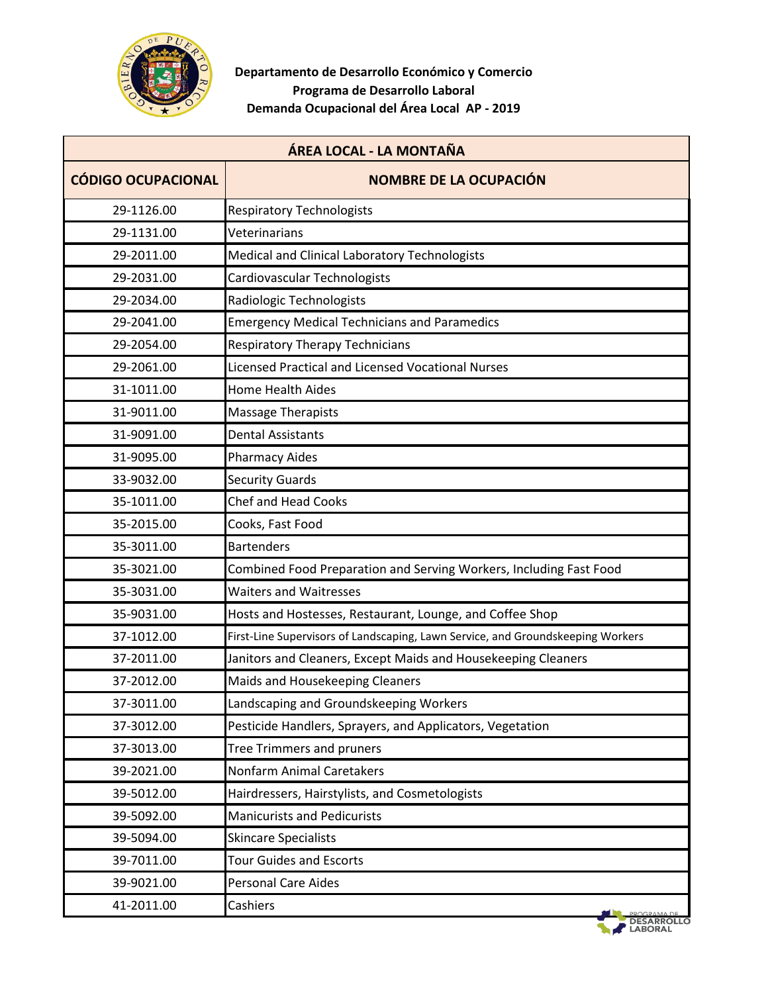

| ÁREA LOCAL - LA MONTAÑA   |                                                                                 |  |
|---------------------------|---------------------------------------------------------------------------------|--|
| <b>CÓDIGO OCUPACIONAL</b> | <b>NOMBRE DE LA OCUPACIÓN</b>                                                   |  |
| 29-1126.00                | <b>Respiratory Technologists</b>                                                |  |
| 29-1131.00                | Veterinarians                                                                   |  |
| 29-2011.00                | Medical and Clinical Laboratory Technologists                                   |  |
| 29-2031.00                | Cardiovascular Technologists                                                    |  |
| 29-2034.00                | Radiologic Technologists                                                        |  |
| 29-2041.00                | <b>Emergency Medical Technicians and Paramedics</b>                             |  |
| 29-2054.00                | <b>Respiratory Therapy Technicians</b>                                          |  |
| 29-2061.00                | <b>Licensed Practical and Licensed Vocational Nurses</b>                        |  |
| 31-1011.00                | <b>Home Health Aides</b>                                                        |  |
| 31-9011.00                | Massage Therapists                                                              |  |
| 31-9091.00                | <b>Dental Assistants</b>                                                        |  |
| 31-9095.00                | <b>Pharmacy Aides</b>                                                           |  |
| 33-9032.00                | <b>Security Guards</b>                                                          |  |
| 35-1011.00                | <b>Chef and Head Cooks</b>                                                      |  |
| 35-2015.00                | Cooks, Fast Food                                                                |  |
| 35-3011.00                | <b>Bartenders</b>                                                               |  |
| 35-3021.00                | Combined Food Preparation and Serving Workers, Including Fast Food              |  |
| 35-3031.00                | <b>Waiters and Waitresses</b>                                                   |  |
| 35-9031.00                | Hosts and Hostesses, Restaurant, Lounge, and Coffee Shop                        |  |
| 37-1012.00                | First-Line Supervisors of Landscaping, Lawn Service, and Groundskeeping Workers |  |
| 37-2011.00                | Janitors and Cleaners, Except Maids and Housekeeping Cleaners                   |  |
| 37-2012.00                | Maids and Housekeeping Cleaners                                                 |  |
| 37-3011.00                | Landscaping and Groundskeeping Workers                                          |  |
| 37-3012.00                | Pesticide Handlers, Sprayers, and Applicators, Vegetation                       |  |
| 37-3013.00                | Tree Trimmers and pruners                                                       |  |
| 39-2021.00                | Nonfarm Animal Caretakers                                                       |  |
| 39-5012.00                | Hairdressers, Hairstylists, and Cosmetologists                                  |  |
| 39-5092.00                | <b>Manicurists and Pedicurists</b>                                              |  |
| 39-5094.00                | <b>Skincare Specialists</b>                                                     |  |
| 39-7011.00                | <b>Tour Guides and Escorts</b>                                                  |  |
| 39-9021.00                | <b>Personal Care Aides</b>                                                      |  |
| 41-2011.00                | Cashiers                                                                        |  |
|                           |                                                                                 |  |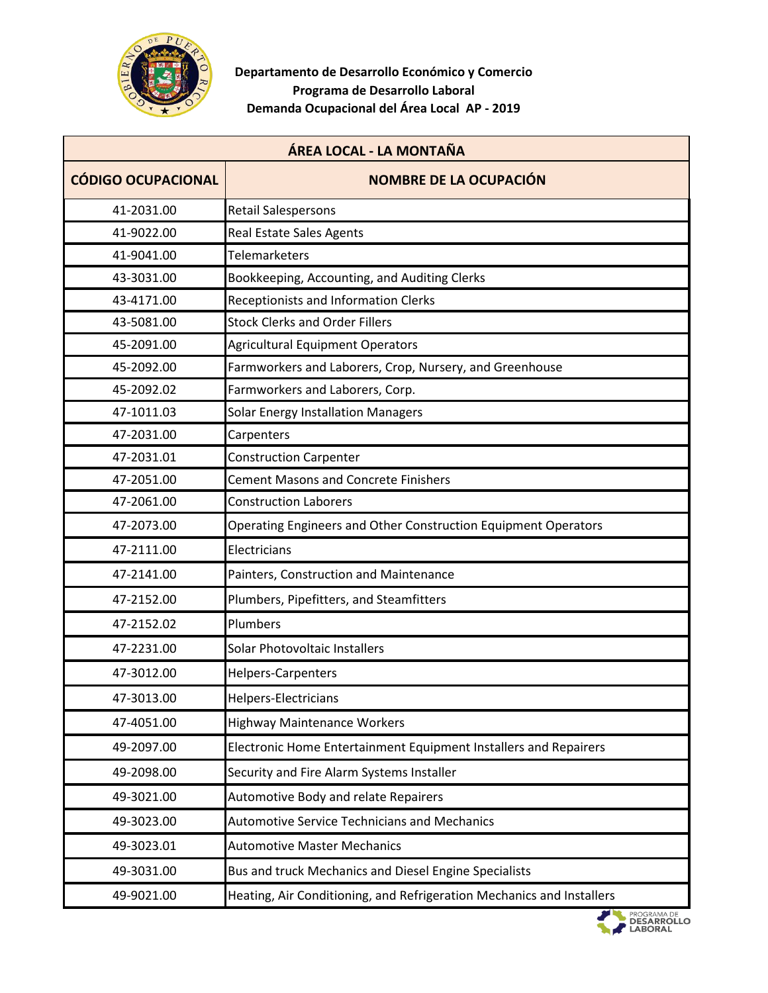

| ÁREA LOCAL - LA MONTAÑA   |                                                                       |  |
|---------------------------|-----------------------------------------------------------------------|--|
| <b>CÓDIGO OCUPACIONAL</b> | <b>NOMBRE DE LA OCUPACIÓN</b>                                         |  |
| 41-2031.00                | <b>Retail Salespersons</b>                                            |  |
| 41-9022.00                | Real Estate Sales Agents                                              |  |
| 41-9041.00                | <b>Telemarketers</b>                                                  |  |
| 43-3031.00                | Bookkeeping, Accounting, and Auditing Clerks                          |  |
| 43-4171.00                | <b>Receptionists and Information Clerks</b>                           |  |
| 43-5081.00                | <b>Stock Clerks and Order Fillers</b>                                 |  |
| 45-2091.00                | <b>Agricultural Equipment Operators</b>                               |  |
| 45-2092.00                | Farmworkers and Laborers, Crop, Nursery, and Greenhouse               |  |
| 45-2092.02                | Farmworkers and Laborers, Corp.                                       |  |
| 47-1011.03                | <b>Solar Energy Installation Managers</b>                             |  |
| 47-2031.00                | Carpenters                                                            |  |
| 47-2031.01                | <b>Construction Carpenter</b>                                         |  |
| 47-2051.00                | <b>Cement Masons and Concrete Finishers</b>                           |  |
| 47-2061.00                | <b>Construction Laborers</b>                                          |  |
| 47-2073.00                | Operating Engineers and Other Construction Equipment Operators        |  |
| 47-2111.00                | Electricians                                                          |  |
| 47-2141.00                | Painters, Construction and Maintenance                                |  |
| 47-2152.00                | Plumbers, Pipefitters, and Steamfitters                               |  |
| 47-2152.02                | Plumbers                                                              |  |
| 47-2231.00                | Solar Photovoltaic Installers                                         |  |
| 47-3012.00                | Helpers-Carpenters                                                    |  |
| 47-3013.00                | Helpers-Electricians                                                  |  |
| 47-4051.00                | Highway Maintenance Workers                                           |  |
| 49-2097.00                | Electronic Home Entertainment Equipment Installers and Repairers      |  |
| 49-2098.00                | Security and Fire Alarm Systems Installer                             |  |
| 49-3021.00                | <b>Automotive Body and relate Repairers</b>                           |  |
| 49-3023.00                | <b>Automotive Service Technicians and Mechanics</b>                   |  |
| 49-3023.01                | <b>Automotive Master Mechanics</b>                                    |  |
| 49-3031.00                | Bus and truck Mechanics and Diesel Engine Specialists                 |  |
| 49-9021.00                | Heating, Air Conditioning, and Refrigeration Mechanics and Installers |  |